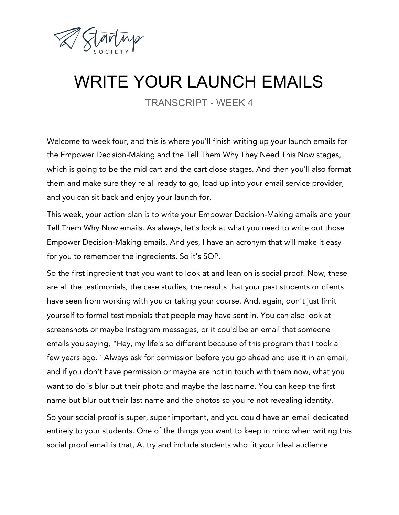

## WRITE YOUR LAUNCH EMAILS

TRANSCRIPT - WEEK 4

Welcome to week four, and this is where you'll finish writing up your launch emails for the Empower Decision-Making and the Tell Them Why They Need This Now stages, which is going to be the mid cart and the cart close stages. And then you'll also format them and make sure they're all ready to go, load up into your email service provider, and you can sit back and enjoy your launch for.

This week, your action plan is to write your Empower Decision-Making emails and your Tell Them Why Now emails. As always, let's look at what you need to write out those Empower Decision-Making emails. And yes, I have an acronym that will make it easy for you to remember the ingredients. So it's SOP.

So the first ingredient that you want to look at and lean on is social proof. Now, these are all the testimonials, the case studies, the results that your past students or clients have seen from working with you or taking your course. And, again, don't just limit yourself to formal testimonials that people may have sent in. You can also look at screenshots or maybe Instagram messages, or it could be an email that someone emails you saying, "Hey, my life's so different because of this program that I took a few years ago." Always ask for permission before you go ahead and use it in an email, and if you don't have permission or maybe are not in touch with them now, what you want to do is blur out their photo and maybe the last name. You can keep the first name but blur out their last name and the photos so you're not revealing identity. So your social proof is super, super important, and you could have an email dedicated entirely to your students. One of the things you want to keep in mind when writing this social proof email is that, A, try and include students who fit your ideal audience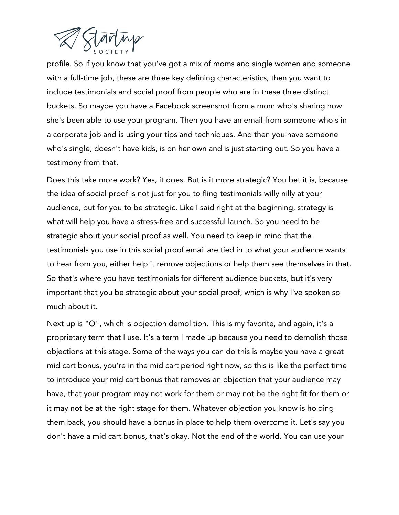

profile. So if you know that you've got a mix of moms and single women and someone with a full-time job, these are three key defining characteristics, then you want to include testimonials and social proof from people who are in these three distinct buckets. So maybe you have a Facebook screenshot from a mom who's sharing how she's been able to use your program. Then you have an email from someone who's in a corporate job and is using your tips and techniques. And then you have someone who's single, doesn't have kids, is on her own and is just starting out. So you have a testimony from that.

Does this take more work? Yes, it does. But is it more strategic? You bet it is, because the idea of social proof is not just for you to fling testimonials willy nilly at your audience, but for you to be strategic. Like I said right at the beginning, strategy is what will help you have a stress-free and successful launch. So you need to be strategic about your social proof as well. You need to keep in mind that the testimonials you use in this social proof email are tied in to what your audience wants to hear from you, either help it remove objections or help them see themselves in that. So that's where you have testimonials for different audience buckets, but it's very important that you be strategic about your social proof, which is why I've spoken so much about it.

Next up is "O", which is objection demolition. This is my favorite, and again, it's a proprietary term that I use. It's a term I made up because you need to demolish those objections at this stage. Some of the ways you can do this is maybe you have a great mid cart bonus, you're in the mid cart period right now, so this is like the perfect time to introduce your mid cart bonus that removes an objection that your audience may have, that your program may not work for them or may not be the right fit for them or it may not be at the right stage for them. Whatever objection you know is holding them back, you should have a bonus in place to help them overcome it. Let's say you don't have a mid cart bonus, that's okay. Not the end of the world. You can use your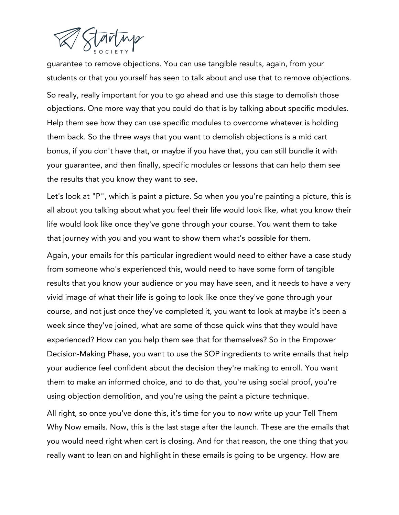

guarantee to remove objections. You can use tangible results, again, from your students or that you yourself has seen to talk about and use that to remove objections. So really, really important for you to go ahead and use this stage to demolish those objections. One more way that you could do that is by talking about specific modules. Help them see how they can use specific modules to overcome whatever is holding them back. So the three ways that you want to demolish objections is a mid cart bonus, if you don't have that, or maybe if you have that, you can still bundle it with your guarantee, and then finally, specific modules or lessons that can help them see the results that you know they want to see.

Let's look at "P", which is paint a picture. So when you you're painting a picture, this is all about you talking about what you feel their life would look like, what you know their life would look like once they've gone through your course. You want them to take that journey with you and you want to show them what's possible for them.

Again, your emails for this particular ingredient would need to either have a case study from someone who's experienced this, would need to have some form of tangible results that you know your audience or you may have seen, and it needs to have a very vivid image of what their life is going to look like once they've gone through your course, and not just once they've completed it, you want to look at maybe it's been a week since they've joined, what are some of those quick wins that they would have experienced? How can you help them see that for themselves? So in the Empower Decision-Making Phase, you want to use the SOP ingredients to write emails that help your audience feel confident about the decision they're making to enroll. You want them to make an informed choice, and to do that, you're using social proof, you're using objection demolition, and you're using the paint a picture technique.

All right, so once you've done this, it's time for you to now write up your Tell Them Why Now emails. Now, this is the last stage after the launch. These are the emails that you would need right when cart is closing. And for that reason, the one thing that you really want to lean on and highlight in these emails is going to be urgency. How are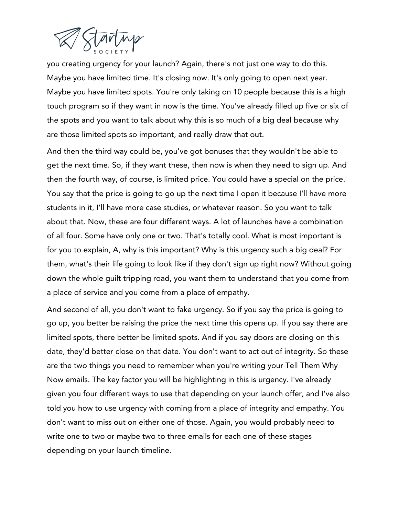

you creating urgency for your launch? Again, there's not just one way to do this. Maybe you have limited time. It's closing now. It's only going to open next year. Maybe you have limited spots. You're only taking on 10 people because this is a high touch program so if they want in now is the time. You've already filled up five or six of the spots and you want to talk about why this is so much of a big deal because why are those limited spots so important, and really draw that out.

And then the third way could be, you've got bonuses that they wouldn't be able to get the next time. So, if they want these, then now is when they need to sign up. And then the fourth way, of course, is limited price. You could have a special on the price. You say that the price is going to go up the next time I open it because I'll have more students in it, I'll have more case studies, or whatever reason. So you want to talk about that. Now, these are four different ways. A lot of launches have a combination of all four. Some have only one or two. That's totally cool. What is most important is for you to explain, A, why is this important? Why is this urgency such a big deal? For them, what's their life going to look like if they don't sign up right now? Without going down the whole guilt tripping road, you want them to understand that you come from a place of service and you come from a place of empathy.

And second of all, you don't want to fake urgency. So if you say the price is going to go up, you better be raising the price the next time this opens up. If you say there are limited spots, there better be limited spots. And if you say doors are closing on this date, they'd better close on that date. You don't want to act out of integrity. So these are the two things you need to remember when you're writing your Tell Them Why Now emails. The key factor you will be highlighting in this is urgency. I've already given you four different ways to use that depending on your launch offer, and I've also told you how to use urgency with coming from a place of integrity and empathy. You don't want to miss out on either one of those. Again, you would probably need to write one to two or maybe two to three emails for each one of these stages depending on your launch timeline.